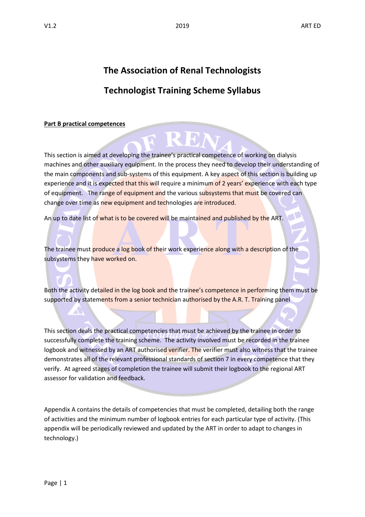# **The Association of Renal Technologists**

## **Technologist Training Scheme Syllabus**

#### **Part B practical competences**

This section is aimed at developing the trainee's practical competence of working on dialysis machines and other auxiliary equipment. In the process they need to develop their understanding of the main components and sub-systems of this equipment. A key aspect of this section is building up experience and it is expected that this will require a minimum of 2 years' experience with each type of equipment. The range of equipment and the various subsystems that must be covered can change over time as new equipment and technologies are introduced.

REN

An up to date list of what is to be covered will be maintained and published by the ART.

The trainee must produce a log book of their work experience along with a description of the subsystems they have worked on.

Both the activity detailed in the log book and the trainee's competence in performing them must be supported by statements from a senior technician authorised by the A.R. T. Training panel

This section deals the practical competencies that must be achieved by the trainee in order to successfully complete the training scheme. The activity involved must be recorded in the trainee logbook and witnessed by an ART authorised verifier. The verifier must also witness that the trainee demonstrates all of the relevant professional standards of section 7 in every competence that they verify. At agreed stages of completion the trainee will submit their logbook to the regional ART assessor for validation and feedback.

Appendix A contains the details of competencies that must be completed, detailing both the range of activities and the minimum number of logbook entries for each particular type of activity. (This appendix will be periodically reviewed and updated by the ART in order to adapt to changes in technology.)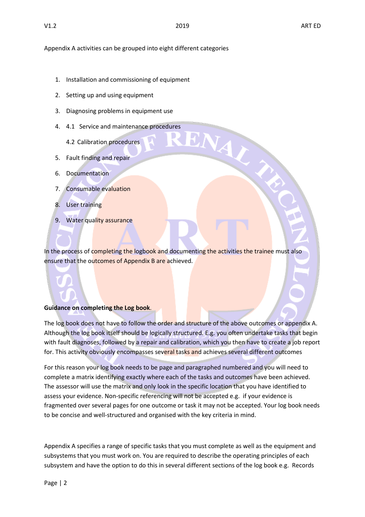ENAL

Appendix A activities can be grouped into eight different categories

- 1. Installation and commissioning of equipment
- 2. Setting up and using equipment
- 3. Diagnosing problems in equipment use
- 4. 4.1 Service and maintenance procedures
	- 4.2 Calibration procedures
- 5. Fault finding and repair
- 6. Documentation
- 7. Consumable evaluation
- 8. User training
- 9. Water quality assurance

In the process of completing the logbook and documenting the activities the trainee must also ensure that the outcomes of Appendix B are achieved.

#### **Guidance on completing the Log book**.

The log book does not have to follow the order and structure of the above outcomes or appendix A. Although the log book itself should be logically structured. E.g. you often undertake tasks that begin with fault diagnoses, followed by a repair and calibration, which you then have to create a job report for. This activity obviously encompasses several tasks and achieves several different outcomes

For this reason your log book needs to be page and paragraphed numbered and you will need to complete a matrix identifying exactly where each of the tasks and outcomes have been achieved. The assessor will use the matrix and only look in the specific location that you have identified to assess your evidence. Non-specific referencing will not be accepted e.g. if your evidence is fragmented over several pages for one outcome or task it may not be accepted. Your log book needs to be concise and well-structured and organised with the key criteria in mind.

Appendix A specifies a range of specific tasks that you must complete as well as the equipment and subsystems that you must work on. You are required to describe the operating principles of each subsystem and have the option to do this in several different sections of the log book e.g. Records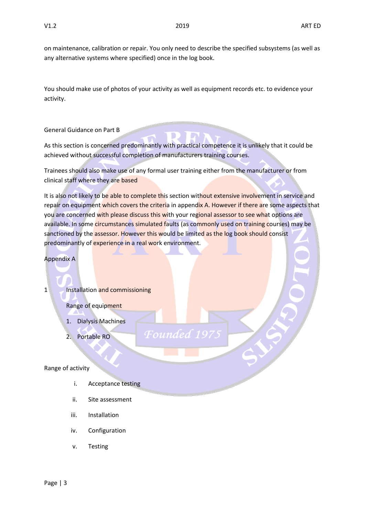on maintenance, calibration or repair. You only need to describe the specified subsystems (as well as any alternative systems where specified) once in the log book.

You should make use of photos of your activity as well as equipment records etc. to evidence your activity.

General Guidance on Part B

As this section is concerned predominantly with practical competence it is unlikely that it could be achieved without successful completion of manufacturers training courses.

Trainees should also make use of any formal user training either from the manufacturer or from clinical staff where they are based

It is also not likely to be able to complete this section without extensive involvement in service and repair on equipment which covers the criteria in appendix A. However if there are some aspects that you are concerned with please discuss this with your regional assessor to see what options are available. In some circumstances simulated faults (as commonly used on training courses) may be sanctioned by the assessor. However this would be limited as the log book should consist predominantly of experience in a real work environment.

Founde

Appendix A

1 Installation and commissioning

Range of equipment

- 1. Dialysis Machines
- 2. Portable RO

#### Range of activity

- i. Acceptance testing
- ii. Site assessment
- iii. Installation
- iv. Configuration
- v. Testing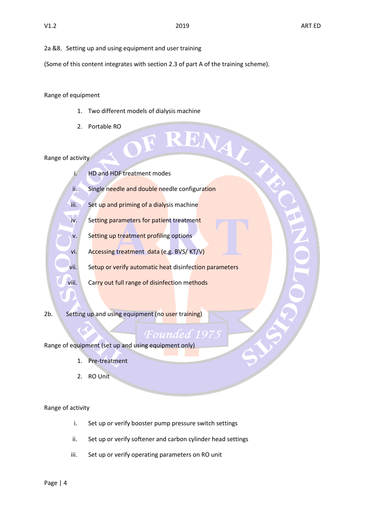2a &8. Setting up and using equipment and user training

(Some of this content integrates with section 2.3 of part A of the training scheme).

Range of equipment

- 1. Two different models of dialysis machine
- 2. Portable RO

#### Range of activity

ENAL i. HD and HDF treatment modes ii. Single needle and double needle configuration iii. Set up and priming of a dialysis machine iv. Setting parameters for patient treatment v. Setting up treatment profiling options vi. Accessing treatment data (e.g. BVS/ KT/V) vii. Setup or verify automatic heat disinfection parameters viii. Carry out full range of disinfection methods

2b. Setting up and using equipment (no user training)

Range of equipment (set up and using equipment only)

- 1. Pre-treatment
- 2. RO Unit

Range of activity

- i. Set up or verify booster pump pressure switch settings
- ii. Set up or verify softener and carbon cylinder head settings
- iii. Set up or verify operating parameters on RO unit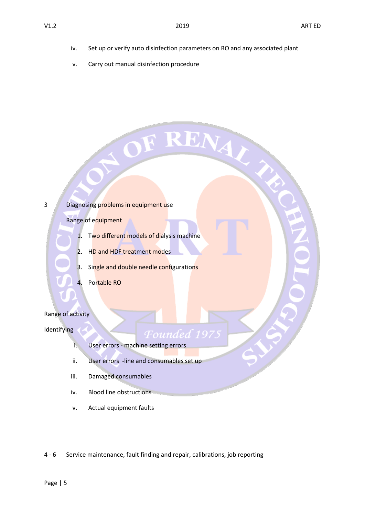iv. Set up or verify auto disinfection parameters on RO and any associated plant

OF RENAY

v. Carry out manual disinfection procedure

3 Diagnosing problems in equipment use

Range of equipment

- 1. Two different models of dialysis machine
- 2. HD and HDF treatment modes
- 3. Single and double needle configurations
- 4. Portable RO

#### Range of activity

#### **Identifying**

- i. User errors machine setting errors
- ii. User errors -line and consumables set up

Founded 19

- iii. Damaged consumables
- iv. Blood line obstructions
- v. Actual equipment faults

4 - 6 Service maintenance, fault finding and repair, calibrations, job reporting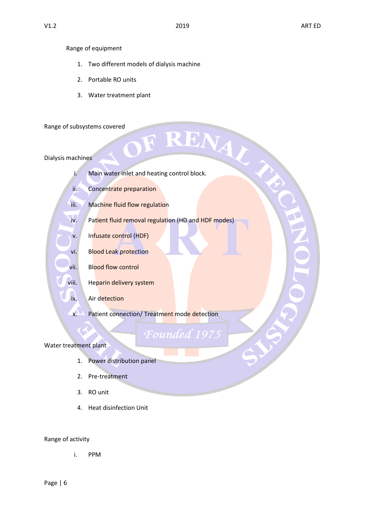#### Range of equipment

- 1. Two different models of dialysis machine
- 2. Portable RO units
- 3. Water treatment plant

#### Range of subsystems covered

#### Dialysis machines

- ubsystems covered<br>achines<br>i. Main water inlet and heating control block.
- ii. Concentrate preparation
- iii. Machine fluid flow regulation
- iv. Patient fluid removal regulation (HD and HDF modes)
- v. Infusate control (HDF)
- vi. Blood Leak protection
- vii. Blood flow control
- viii. Heparin delivery system
	- ix. Air detection
	- x. Patient connection/ Treatment mode detection

### **Founded 1975**

#### Water treatment plant

- 1. Power distribution panel
- 2. Pre-treatment
- 3. RO unit
- 4. Heat disinfection Unit

#### Range of activity

i. PPM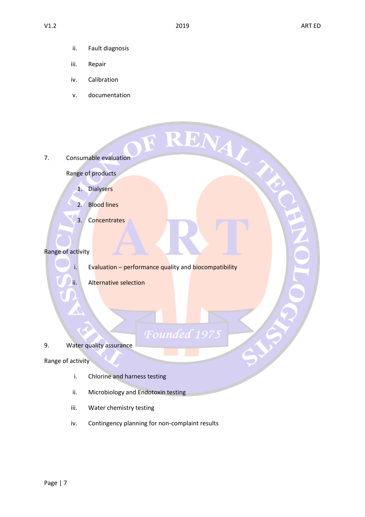F RENAY

- ii. Fault diagnosis
- iii. Repair
- iv. Calibration
- v. documentation

7. Consumable evaluation

Range of products

- 1. Dialysers
- 2. Blood lines
- 3. Concentrates

#### Range of activity

i. Evaluation – performance quality and biocompatibility

Foundea

ii. Alternative selection

#### 9. Water quality assurance

#### Range of activity

- i. Chlorine and harness testing
- ii. Microbiology and Endotoxin testing
- iii. Water chemistry testing
- iv. Contingency planning for non-complaint results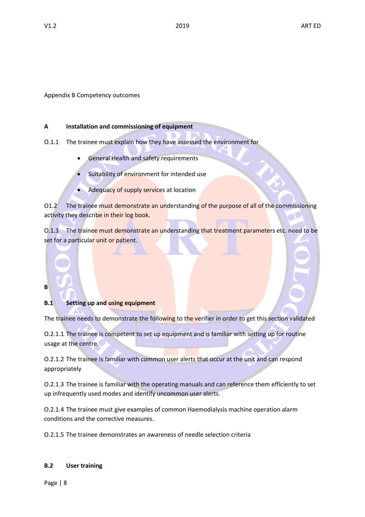Appendix B Competency outcomes

#### **A Installation and commissioning of equipment**

O.1.1 The trainee must explain how they have assessed the environment for

- General Health and safety requirements
- Suitability of environment for intended use
- Adequacy of supply services at location

O1.2 The trainee must demonstrate an understanding of the purpose of all of the commissioning activity they describe in their log book.

O.1.3 The trainee must demonstrate an understanding that treatment parameters etc. need to be set for a particular unit or patient.

### **B**

#### **B.1 Setting up and using equipment**

The trainee needs to demonstrate the following to the verifier in order to get this section validated

O.2.1.1 The trainee is competent to set up equipment and is familiar with setting up for routine usage at the centre.

O.2.1.2 The trainee is familiar with common user alerts that occur at the unit and can respond appropriately

O.2.1.3 The trainee is familiar with the operating manuals and can reference them efficiently to set up infrequently used modes and identify uncommon user alerts.

O.2.1.4 The trainee must give examples of common Haemodialysis machine operation alarm conditions and the corrective measures.

O.2.1.5 The trainee demonstrates an awareness of needle selection criteria

#### **B.2 User training**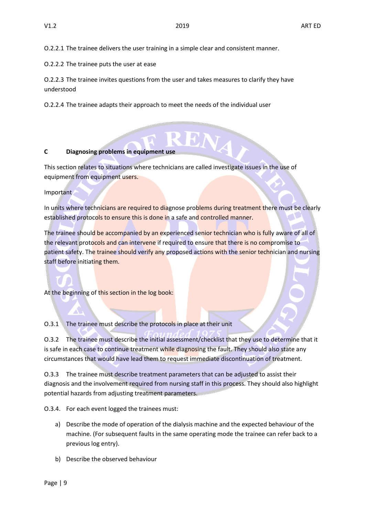O.2.2.1 The trainee delivers the user training in a simple clear and consistent manner.

O.2.2.2 The trainee puts the user at ease

O.2.2.3 The trainee invites questions from the user and takes measures to clarify they have understood

O.2.2.4 The trainee adapts their approach to meet the needs of the individual user

#### **C Diagnosing problems in equipment use**

This section relates to situations where technicians are called investigate issues in the use of equipment from equipment users.

Important

In units where technicians are required to diagnose problems during treatment there must be clearly established protocols to ensure this is done in a safe and controlled manner.

The trainee should be accompanied by an experienced senior technician who is fully aware of all of the relevant protocols and can intervene if required to ensure that there is no compromise to patient safety. The trainee should verify any proposed actions with the senior technician and nursing staff before initiating them.

At the beginning of this section in the log book:

O.3.1 The trainee must describe the protocols in place at their unit

O.3.2 The trainee must describe the initial assessment/checklist that they use to determine that it is safe in each case to continue treatment while diagnosing the fault. They should also state any circumstances that would have lead them to request immediate discontinuation of treatment.

O.3.3 The trainee must describe treatment parameters that can be adjusted to assist their diagnosis and the involvement required from nursing staff in this process. They should also highlight potential hazards from adjusting treatment parameters.

O.3.4. For each event logged the trainees must:

- a) Describe the mode of operation of the dialysis machine and the expected behaviour of the machine. (For subsequent faults in the same operating mode the trainee can refer back to a previous log entry).
- b) Describe the observed behaviour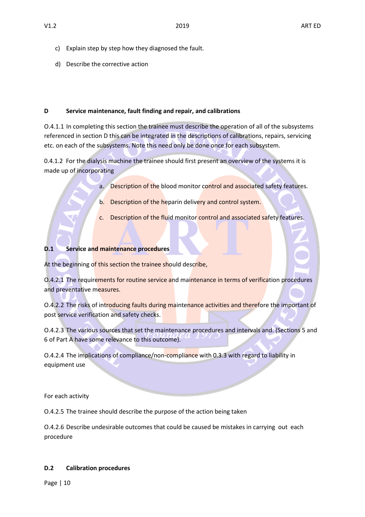- c) Explain step by step how they diagnosed the fault.
- d) Describe the corrective action

#### **D Service maintenance, fault finding and repair, and calibrations**

O.4.1.1 In completing this section the trainee must describe the operation of all of the subsystems referenced in section D this can be integrated in the descriptions of calibrations, repairs, servicing etc. on each of the subsystems. Note this need only be done once for each subsystem.

0.4.1.2 For the dialysis machine the trainee should first present an overview of the systems it is made up of incorporating

- a. Description of the blood monitor control and associated safety features.
- b. Description of the heparin delivery and control system.
- c. Description of the fluid monitor control and associated safety features.

#### **D.1 Service and maintenance procedures**

At the beginning of this section the trainee should describe,

O.4.2.1 The requirements for routine service and maintenance in terms of verification procedures and preventative measures.

O.4.2.2 The risks of introducing faults during maintenance activities and therefore the important of post service verification and safety checks.

O.4.2.3 The various sources that set the maintenance procedures and intervals and. (Sections 5 and 6 of Part A have some relevance to this outcome).

O.4.2.4 The implications of compliance/non-compliance with 0.3.3 with regard to liability in equipment use

For each activity

O.4.2.5 The trainee should describe the purpose of the action being taken

O.4.2.6 Describe undesirable outcomes that could be caused be mistakes in carrying out each procedure

#### **D.2 Calibration procedures**

Page | 10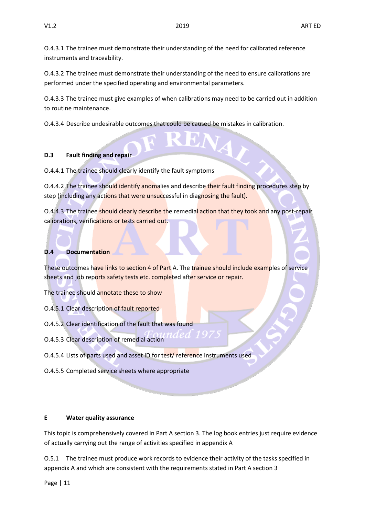O.4.3.1 The trainee must demonstrate their understanding of the need for calibrated reference instruments and traceability.

O.4.3.2 The trainee must demonstrate their understanding of the need to ensure calibrations are performed under the specified operating and environmental parameters.

O.4.3.3 The trainee must give examples of when calibrations may need to be carried out in addition to routine maintenance.

O.4.3.4 Describe undesirable outcomes that could be caused be mistakes in calibration.

#### **D.3 Fault finding and repair**

O.4.4.1 The trainee should clearly identify the fault symptoms

O.4.4.2 The trainee should identify anomalies and describe their fault finding procedures step by step (including any actions that were unsuccessful in diagnosing the fault).

O.4.4.3 The trainee should clearly describe the remedial action that they took and any post-repair calibrations, verifications or tests carried out.

#### **D.4 Documentation**

These outcomes have links to section 4 of Part A. The trainee should include examples of service sheets and job reports safety tests etc. completed after service or repair.

The trainee should annotate these to show

- O.4.5.1 Clear description of fault reported
- O.4.5.2 Clear identification of the fault that was found
- O.4.5.3 Clear description of remedial action
- O.4.5.4 Lists of parts used and asset ID for test/ reference instruments used
- O.4.5.5 Completed service sheets where appropriate

#### **E Water quality assurance**

This topic is comprehensively covered in Part A section 3. The log book entries just require evidence of actually carrying out the range of activities specified in appendix A

O.5.1 The trainee must produce work records to evidence their activity of the tasks specified in appendix A and which are consistent with the requirements stated in Part A section 3

Page | 11